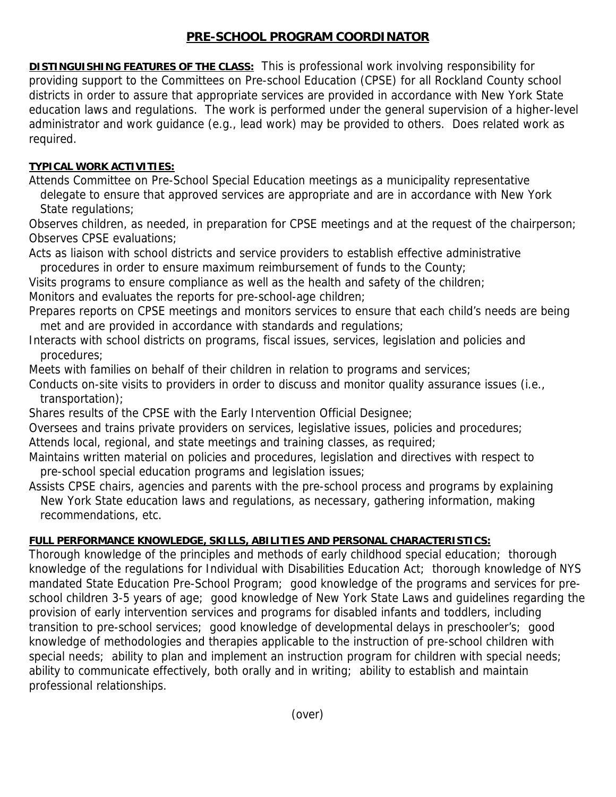### **PRE-SCHOOL PROGRAM COORDINATOR**

**DISTINGUISHING FEATURES OF THE CLASS:** This is professional work involving responsibility for providing support to the Committees on Pre-school Education (CPSE) for all Rockland County school districts in order to assure that appropriate services are provided in accordance with New York State education laws and regulations. The work is performed under the general supervision of a higher-level administrator and work guidance (e.g., lead work) may be provided to others. Does related work as required.

## **TYPICAL WORK ACTIVITIES:**

Attends Committee on Pre-School Special Education meetings as a municipality representative delegate to ensure that approved services are appropriate and are in accordance with New York State regulations;

Observes children, as needed, in preparation for CPSE meetings and at the request of the chairperson; Observes CPSE evaluations;

Acts as liaison with school districts and service providers to establish effective administrative procedures in order to ensure maximum reimbursement of funds to the County;

Visits programs to ensure compliance as well as the health and safety of the children;

Monitors and evaluates the reports for pre-school-age children;

Prepares reports on CPSE meetings and monitors services to ensure that each child's needs are being met and are provided in accordance with standards and regulations;

Interacts with school districts on programs, fiscal issues, services, legislation and policies and procedures;

Meets with families on behalf of their children in relation to programs and services;

Conducts on-site visits to providers in order to discuss and monitor quality assurance issues (i.e., transportation);

Shares results of the CPSE with the Early Intervention Official Designee;

Oversees and trains private providers on services, legislative issues, policies and procedures;

Attends local, regional, and state meetings and training classes, as required;

Maintains written material on policies and procedures, legislation and directives with respect to pre-school special education programs and legislation issues;

Assists CPSE chairs, agencies and parents with the pre-school process and programs by explaining New York State education laws and regulations, as necessary, gathering information, making recommendations, etc.

# **FULL PERFORMANCE KNOWLEDGE, SKILLS, ABILITIES AND PERSONAL CHARACTERISTICS:**

Thorough knowledge of the principles and methods of early childhood special education; thorough knowledge of the regulations for Individual with Disabilities Education Act; thorough knowledge of NYS mandated State Education Pre-School Program; good knowledge of the programs and services for preschool children 3-5 years of age; good knowledge of New York State Laws and guidelines regarding the provision of early intervention services and programs for disabled infants and toddlers, including transition to pre-school services; good knowledge of developmental delays in preschooler's; good knowledge of methodologies and therapies applicable to the instruction of pre-school children with special needs; ability to plan and implement an instruction program for children with special needs; ability to communicate effectively, both orally and in writing; ability to establish and maintain professional relationships.